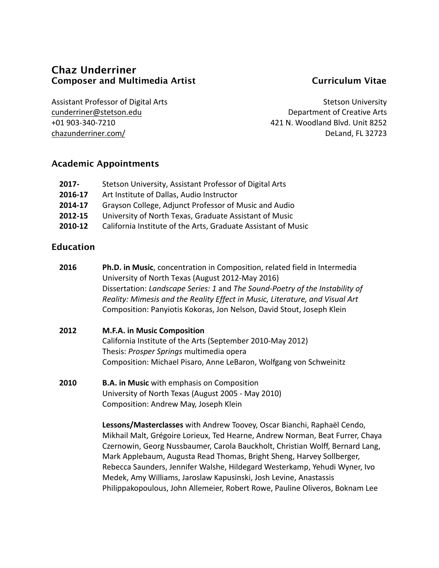# **Chaz Underriner Composer and Multimedia Artist Curriculum Vitae**

Assistant Professor of Digital Arts cunderriner@stetson.edu +01 903-340-7210 chazunderriner.com/

Stetson University Department of Creative Arts 421 N. Woodland Blvd. Unit 8252 DeLand, FL 32723

## **Academic Appointments**

| 2017-   | Stetson University, Assistant Professor of Digital Arts       |
|---------|---------------------------------------------------------------|
| 2016-17 | Art Institute of Dallas, Audio Instructor                     |
| 2014-17 | Grayson College, Adjunct Professor of Music and Audio         |
| 2012-15 | University of North Texas, Graduate Assistant of Music        |
| 2010-12 | California Institute of the Arts, Graduate Assistant of Music |

### **Education**

- **2016 Ph.D. in Music**, concentration in Composition, related field in Intermedia University of North Texas (August 2012-May 2016) Dissertation: *Landscape Series: 1* and *The Sound-Poetry of the Instability of Reality: Mimesis and the Reality Effect in Music, Literature, and Visual Art* Composition: Panyiotis Kokoras, Jon Nelson, David Stout, Joseph Klein
- **2012 M.F.A. in Music Composition** California Institute of the Arts (September 2010-May 2012) Thesis: *Prosper Springs* multimedia opera Composition: Michael Pisaro, Anne LeBaron, Wolfgang von Schweinitz
- **2010 B.A. in Music** with emphasis on Composition University of North Texas (August 2005 - May 2010) Composition: Andrew May, Joseph Klein

**Lessons/Masterclasses** with Andrew Toovey, Oscar Bianchi, Raphaël Cendo, Mikhail Malt, Grégoire Lorieux, Ted Hearne, Andrew Norman, Beat Furrer, Chaya Czernowin, Georg Nussbaumer, Carola Bauckholt, Christian Wolff, Bernard Lang, Mark Applebaum, Augusta Read Thomas, Bright Sheng, Harvey Sollberger, Rebecca Saunders, Jennifer Walshe, Hildegard Westerkamp, Yehudi Wyner, Ivo Medek, Amy Williams, Jaroslaw Kapusinski, Josh Levine, Anastassis Philippakopoulous, John Allemeier, Robert Rowe, Pauline Oliveros, Boknam Lee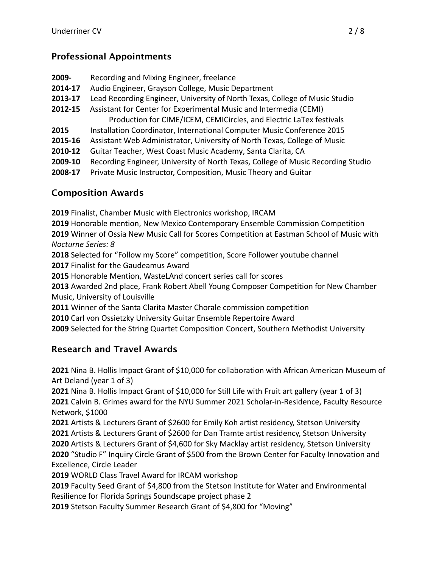# **Professional Appointments**

- **2009-** Recording and Mixing Engineer, freelance
- **2014-17** Audio Engineer, Grayson College, Music Department
- **2013-17** Lead Recording Engineer, University of North Texas, College of Music Studio
- **2012-15** Assistant for Center for Experimental Music and Intermedia (CEMI) Production for CIME/ICEM, CEMICircles, and Electric LaTex festivals
- **2015** Installation Coordinator, International Computer Music Conference 2015
- **2015-16** Assistant Web Administrator, University of North Texas, College of Music
- **2010-12** Guitar Teacher, West Coast Music Academy, Santa Clarita, CA
- **2009-10** Recording Engineer, University of North Texas, College of Music Recording Studio
- **2008-17** Private Music Instructor, Composition, Music Theory and Guitar

# **Composition Awards**

**2019** Finalist, Chamber Music with Electronics workshop, IRCAM

**2019** Honorable mention, New Mexico Contemporary Ensemble Commission Competition **2019** Winner of Ossia New Music Call for Scores Competition at Eastman School of Music with *Nocturne Series: 8*

**2018** Selected for "Follow my Score" competition, Score Follower youtube channel

**2017** Finalist for the Gaudeamus Award

**2015** Honorable Mention, WasteLAnd concert series call for scores

**2013** Awarded 2nd place, Frank Robert Abell Young Composer Competition for New Chamber Music, University of Louisville

**2011** Winner of the Santa Clarita Master Chorale commission competition

**2010** Carl von Ossietzky University Guitar Ensemble Repertoire Award

**2009** Selected for the String Quartet Composition Concert, Southern Methodist University

# **Research and Travel Awards**

**2021** Nina B. Hollis Impact Grant of \$10,000 for collaboration with African American Museum of Art Deland (year 1 of 3)

**2021** Nina B. Hollis Impact Grant of \$10,000 for Still Life with Fruit art gallery (year 1 of 3) **2021** Calvin B. Grimes award for the NYU Summer 2021 Scholar-in-Residence, Faculty Resource Network, \$1000

Artists & Lecturers Grant of \$2600 for Emily Koh artist residency, Stetson University Artists & Lecturers Grant of \$2600 for Dan Tramte artist residency, Stetson University Artists & Lecturers Grant of \$4,600 for Sky Macklay artist residency, Stetson University "Studio F" Inquiry Circle Grant of \$500 from the Brown Center for Faculty Innovation and Excellence, Circle Leader

**2019** WORLD Class Travel Award for IRCAM workshop

**2019** Faculty Seed Grant of \$4,800 from the Stetson Institute for Water and Environmental Resilience for Florida Springs Soundscape project phase 2

**2019** Stetson Faculty Summer Research Grant of \$4,800 for "Moving"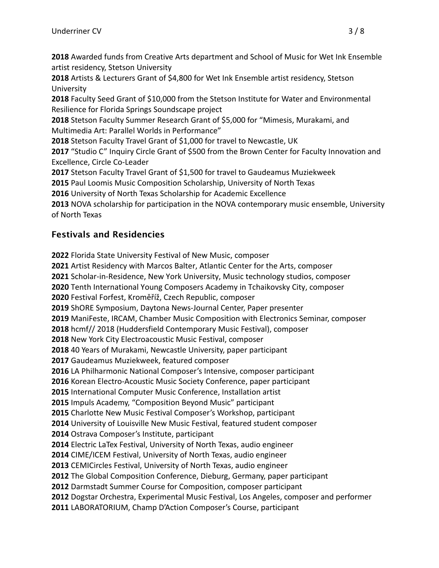Awarded funds from Creative Arts department and School of Music for Wet Ink Ensemble artist residency, Stetson University

 Artists & Lecturers Grant of \$4,800 for Wet Ink Ensemble artist residency, Stetson University

 Faculty Seed Grant of \$10,000 from the Stetson Institute for Water and Environmental Resilience for Florida Springs Soundscape project

 Stetson Faculty Summer Research Grant of \$5,000 for "Mimesis, Murakami, and Multimedia Art: Parallel Worlds in Performance"

Stetson Faculty Travel Grant of \$1,000 for travel to Newcastle, UK

"Studio C" Inquiry Circle Grant of \$500 from the Brown Center for Faculty Innovation and Excellence, Circle Co-Leader

Stetson Faculty Travel Grant of \$1,500 for travel to Gaudeamus Muziekweek

Paul Loomis Music Composition Scholarship, University of North Texas

University of North Texas Scholarship for Academic Excellence

NOVA scholarship for participation in the NOVA contemporary music ensemble, University of North Texas

# **Festivals and Residencies**

Florida State University Festival of New Music, composer Artist Residency with Marcos Balter, Atlantic Center for the Arts, composer Scholar-in-Residence, New York University, Music technology studios, composer Tenth International Young Composers Academy in Tchaikovsky City, composer Festival Forfest, Kroměříž, Czech Republic, composer ShORE Symposium, Daytona News-Journal Center, Paper presenter ManiFeste, IRCAM, Chamber Music Composition with Electronics Seminar, composer hcmf// 2018 (Huddersfield Contemporary Music Festival), composer New York City Electroacoustic Music Festival, composer 40 Years of Murakami, Newcastle University, paper participant Gaudeamus Muziekweek, featured composer LA Philharmonic National Composer's Intensive, composer participant Korean Electro-Acoustic Music Society Conference, paper participant International Computer Music Conference, Installation artist Impuls Academy, "Composition Beyond Music" participant Charlotte New Music Festival Composer's Workshop, participant University of Louisville New Music Festival, featured student composer Ostrava Composer's Institute, participant Electric LaTex Festival, University of North Texas, audio engineer CIME/ICEM Festival, University of North Texas, audio engineer CEMICircles Festival, University of North Texas, audio engineer The Global Composition Conference, Dieburg, Germany, paper participant Darmstadt Summer Course for Composition, composer participant Dogstar Orchestra, Experimental Music Festival, Los Angeles, composer and performer LABORATORIUM, Champ D'Action Composer's Course, participant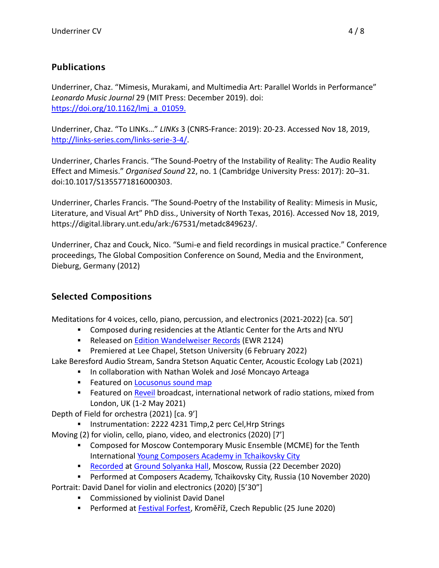# **Publications**

Underriner, Chaz. "Mimesis, Murakami, and Multimedia Art: Parallel Worlds in Performance" *Leonardo Music Journal* 29 (MIT Press: December 2019). doi: https://doi.org/10.1162/lmj\_a\_01059.

Underriner, Chaz. "To LINKs…" *LINKs* 3 (CNRS-France: 2019): 20-23. Accessed Nov 18, 2019, http://links-series.com/links-serie-3-4/.

Underriner, Charles Francis. "The Sound-Poetry of the Instability of Reality: The Audio Reality Effect and Mimesis." *Organised Sound* 22, no. 1 (Cambridge University Press: 2017): 20–31. doi:10.1017/S1355771816000303.

Underriner, Charles Francis. "The Sound-Poetry of the Instability of Reality: Mimesis in Music, Literature, and Visual Art" PhD diss., University of North Texas, 2016). Accessed Nov 18, 2019, https://digital.library.unt.edu/ark:/67531/metadc849623/.

Underriner, Chaz and Couck, Nico. "Sumi-e and field recordings in musical practice." Conference proceedings, The Global Composition Conference on Sound, Media and the Environment, Dieburg, Germany (2012)

# **Selected Compositions**

Meditations for 4 voices, cello, piano, percussion, and electronics (2021-2022) [ca. 50']

- § Composed during residencies at the Atlantic Center for the Arts and NYU
- Released on Edition Wandelweiser Records (EWR 2124)
- § Premiered at Lee Chapel, Stetson University (6 February 2022)

Lake Beresford Audio Stream, Sandra Stetson Aquatic Center, Acoustic Ecology Lab (2021)

- § In collaboration with Nathan Wolek and José Moncayo Arteaga
- **Example 2 Featured on Locusonus sound map**
- Featured on Reveil broadcast, international network of radio stations, mixed from London, UK (1-2 May 2021)

Depth of Field for orchestra (2021) [ca. 9']

§ Instrumentation: 2222 4231 Timp,2 perc Cel,Hrp Strings

Moving (2) for violin, cello, piano, video, and electronics (2020) [7']

- § Composed for Moscow Contemporary Music Ensemble (MCME) for the Tenth International Young Composers Academy in Tchaikovsky City
- Recorded at Ground Solyanka Hall, Moscow, Russia (22 December 2020)
- § Performed at Composers Academy, Tchaikovsky City, Russia (10 November 2020)

Portrait: David Danel for violin and electronics (2020) [5'30"]

- **Commissioned by violinist David Danel**
- § Performed at Festival Forfest, Kroměříž, Czech Republic (25 June 2020)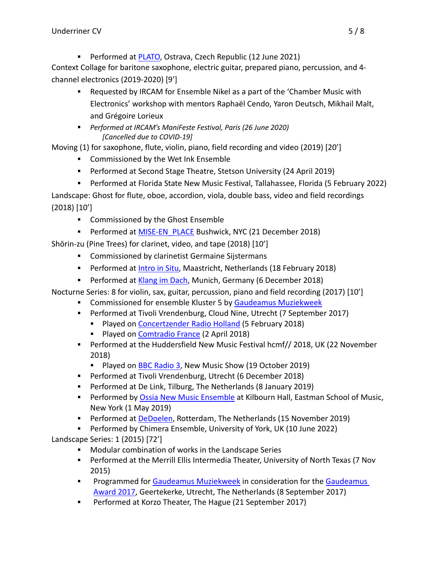■ Performed at PLATO, Ostrava, Czech Republic (12 June 2021)

Context Collage for baritone saxophone, electric guitar, prepared piano, percussion, and 4 channel electronics (2019-2020) [9']

- § Requested by IRCAM for Ensemble Nikel as a part of the 'Chamber Music with Electronics' workshop with mentors Raphaël Cendo, Yaron Deutsch, Mikhail Malt, and Grégoire Lorieux
- § *Performed at IRCAM's ManiFeste Festival, Paris (26 June 2020) [Cancelled due to COVID-19]*

Moving (1) for saxophone, flute, violin, piano, field recording and video (2019) [20']

- Commissioned by the Wet Ink Ensemble
- § Performed at Second Stage Theatre, Stetson University (24 April 2019)
- § Performed at Florida State New Music Festival, Tallahassee, Florida (5 February 2022)

Landscape: Ghost for flute, oboe, accordion, viola, double bass, video and field recordings (2018) [10']

- Commissioned by the Ghost Ensemble
- **Performed at MISE-EN\_PLACE Bushwick, NYC (21 December 2018)**

Shōrin-zu (Pine Trees) for clarinet, video, and tape (2018) [10']

- **Commissioned by clarinetist Germaine Sijstermans**
- Performed at *Intro in Situ, Maastricht, Netherlands* (18 February 2018)
- Performed at Klang im Dach, Munich, Germany (6 December 2018)

Nocturne Series: 8 for violin, sax, guitar, percussion, piano and field recording (2017) [10']

- **Commissioned for ensemble Kluster 5 by Gaudeamus Muziekweek**
- § Performed at Tivoli Vrendenburg, Cloud Nine, Utrecht (7 September 2017)
	- § Played on Concertzender Radio Holland (5 February 2018)
	- Played on Comtradio France (2 April 2018)
- § Performed at the Huddersfield New Music Festival hcmf// 2018, UK (22 November 2018)
	- Played on BBC Radio 3, New Music Show (19 October 2019)
- § Performed at Tivoli Vrendenburg, Utrecht (6 December 2018)
- § Performed at De Link, Tilburg, The Netherlands (8 January 2019)
- **Performed by Ossia New Music Ensemble at Kilbourn Hall, Eastman School of Music,** New York (1 May 2019)
- § Performed at DeDoelen, Rotterdam, The Netherlands (15 November 2019)
- § Performed by Chimera Ensemble, University of York, UK (10 June 2022)

Landscape Series: 1 (2015) [72']

- Modular combination of works in the Landscape Series
- § Performed at the Merrill Ellis Intermedia Theater, University of North Texas (7 Nov 2015)
- **Programmed for Gaudeamus Muziekweek in consideration for the Gaudeamus** Award 2017, Geertekerke, Utrecht, The Netherlands (8 September 2017)
- Performed at Korzo Theater, The Hague (21 September 2017)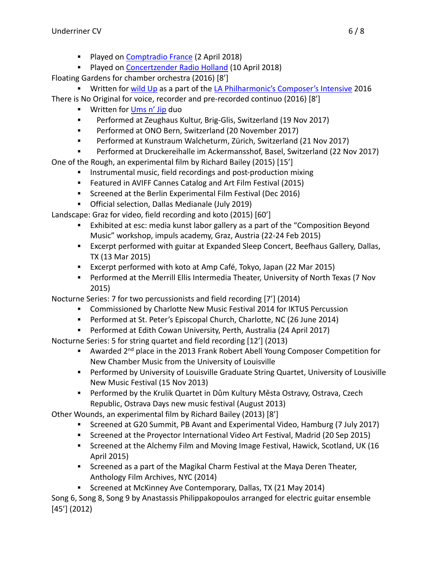- Played on Comptradio France (2 April 2018)
- § Played on Concertzender Radio Holland (10 April 2018)

Floating Gardens for chamber orchestra (2016) [8']

- Written for wild Up as a part of the LA Philharmonic's Composer's Intensive 2016 There is No Original for voice, recorder and pre-recorded continuo (2016) [8']
	- **■** Written for Ums n' Jip duo
	- § Performed at Zeughaus Kultur, Brig-Glis, Switzerland (19 Nov 2017)
	- § Performed at ONO Bern, Switzerland (20 November 2017)
	- § Performed at Kunstraum Walcheturm, Zürich, Switzerland (21 Nov 2017)
	- § Performed at Druckereihalle im Ackermansshof, Basel, Switzerland (22 Nov 2017)

One of the Rough, an experimental film by Richard Bailey (2015) [15']

- § Instrumental music, field recordings and post-production mixing
- § Featured in AVIFF Cannes Catalog and Art Film Festival (2015)
- § Screened at the Berlin Experimental Film Festival (Dec 2016)
- § Official selection, Dallas Medianale (July 2019)

Landscape: Graz for video, field recording and koto (2015) [60']

- **Exhibited at esc: media kunst labor gallery as a part of the "Composition Beyond"** Music" workshop, impuls academy, Graz, Austria (22-24 Feb 2015)
- § Excerpt performed with guitar at Expanded Sleep Concert, Beefhaus Gallery, Dallas, TX (13 Mar 2015)
- § Excerpt performed with koto at Amp Café, Tokyo, Japan (22 Mar 2015)
- § Performed at the Merrill Ellis Intermedia Theater, University of North Texas (7 Nov 2015)

Nocturne Series: 7 for two percussionists and field recording [7'] (2014)

- § Commissioned by Charlotte New Music Festival 2014 for IKTUS Percussion
- § Performed at St. Peter's Episcopal Church, Charlotte, NC (26 June 2014)
- § Performed at Edith Cowan University, Perth, Australia (24 April 2017)

Nocturne Series: 5 for string quartet and field recording [12'] (2013)

- Awarded 2<sup>nd</sup> place in the 2013 Frank Robert Abell Young Composer Competition for New Chamber Music from the University of Louisville
- Performed by University of Louisville Graduate String Quartet, University of Lousiville New Music Festival (15 Nov 2013)
- § Performed by the Krulik Quartet in Dům Kultury Města Ostravy, Ostrava, Czech Republic, Ostrava Days new music festival (August 2013)

Other Wounds, an experimental film by Richard Bailey (2013) [8']

- § Screened at G20 Summit, PB Avant and Experimental Video, Hamburg (7 July 2017)
- § Screened at the Proyector International Video Art Festival, Madrid (20 Sep 2015)
- **Screened at the Alchemy Film and Moving Image Festival, Hawick, Scotland, UK (16** April 2015)
- § Screened as a part of the Magikal Charm Festival at the Maya Deren Theater, Anthology Film Archives, NYC (2014)
- § Screened at McKinney Ave Contemporary, Dallas, TX (21 May 2014)

Song 6, Song 8, Song 9 by Anastassis Philippakopoulos arranged for electric guitar ensemble [45'] (2012)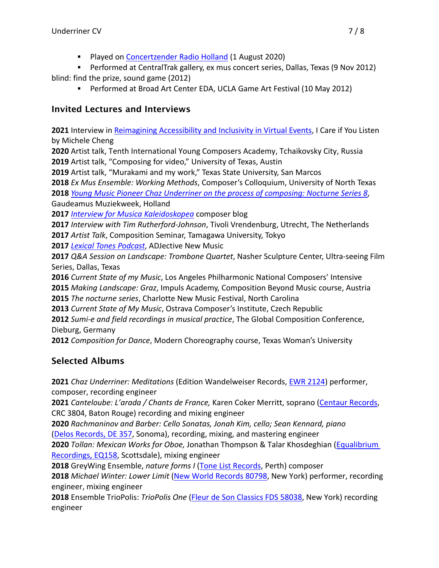■ Played on Concertzender Radio Holland (1 August 2020)

§ Performed at CentralTrak gallery, ex mus concert series, Dallas, Texas (9 Nov 2012) blind: find the prize, sound game (2012)

§ Performed at Broad Art Center EDA, UCLA Game Art Festival (10 May 2012)

# **Invited Lectures and Interviews**

**2021** Interview in Reimagining Accessibility and Inclusivity in Virtual Events, I Care if You Listen by Michele Cheng

**2020** Artist talk, Tenth International Young Composers Academy, Tchaikovsky City, Russia **2019** Artist talk, "Composing for video," University of Texas, Austin

**2019** Artist talk, "Murakami and my work," Texas State University, San Marcos

**2018** *Ex Mus Ensemble: Working Methods*, Composer's Colloquium, University of North Texas **2018** *Young Music Pioneer Chaz Underriner on the process of composing: Nocturne Series 8*, Gaudeamus Muziekweek, Holland

**2017** *Interview for Musica Kaleidoskopea* composer blog

**2017** *Interview with Tim Rutherford-Johnson*, Tivoli Vrendenburg, Utrecht, The Netherlands **2017** *Artist Talk*, Composition Seminar, Tamagawa University, Tokyo

**2017** *Lexical Tones Podcast*, ADJective New Music

**2017** *Q&A Session on Landscape: Trombone Quartet*, Nasher Sculpture Center, Ultra-seeing Film Series, Dallas, Texas

**2016** *Current State of my Music*, Los Angeles Philharmonic National Composers' Intensive **2015** *Making Landscape: Graz*, Impuls Academy, Composition Beyond Music course, Austria **2015** *The nocturne series*, Charlotte New Music Festival, North Carolina

**2013** *Current State of My Music*, Ostrava Composer's Institute, Czech Republic

**2012** *Sumi-e and field recordings in musical practice*, The Global Composition Conference, Dieburg, Germany

**2012** *Composition for Dance*, Modern Choreography course, Texas Woman's University

# **Selected Albums**

**2021** *Chaz Underriner: Meditations* (Edition Wandelweiser Records, EWR 2124) performer, composer, recording engineer

**2021** *Canteloube: L'arada / Chants de France,* Karen Coker Merritt, soprano (Centaur Records, CRC 3804, Baton Rouge) recording and mixing engineer

**2020** *Rachmaninov and Barber: Cello Sonatas, Jonah Kim, cello; Sean Kennard, piano* (Delos Records, DE 357, Sonoma), recording, mixing, and mastering engineer

**2020** *Tollan: Mexican Works for Oboe,* Jonathan Thompson & Talar Khosdeghian (Equalibrium Recordings, EQ158, Scottsdale), mixing engineer

**2018** GreyWing Ensemble, *nature forms I* (Tone List Records, Perth) composer

**2018** *Michael Winter: Lower Limit* (New World Records 80798, New York) performer, recording engineer, mixing engineer

**2018** Ensemble TrioPolis: *TrioPolis One* (Fleur de Son Classics FDS 58038, New York) recording engineer